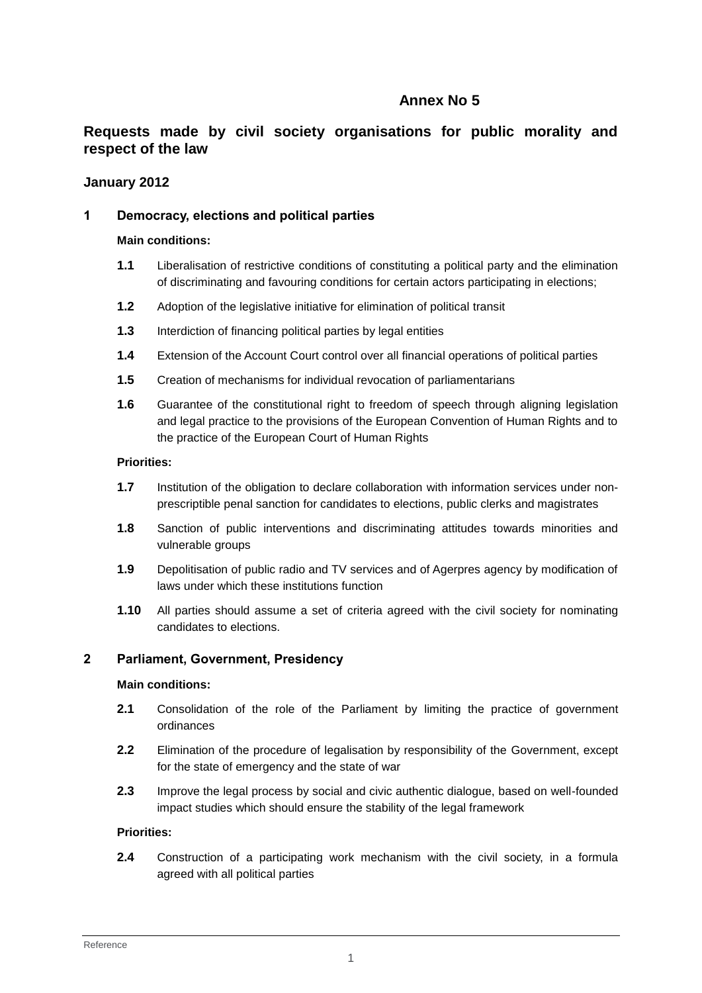# **Annex No 5**

# **Requests made by civil society organisations for public morality and respect of the law**

# **January 2012**

# **1 Democracy, elections and political parties**

#### **Main conditions:**

- **1.1** Liberalisation of restrictive conditions of constituting a political party and the elimination of discriminating and favouring conditions for certain actors participating in elections;
- **1.2** Adoption of the legislative initiative for elimination of political transit
- **1.3** Interdiction of financing political parties by legal entities
- **1.4** Extension of the Account Court control over all financial operations of political parties
- **1.5** Creation of mechanisms for individual revocation of parliamentarians
- **1.6** Guarantee of the constitutional right to freedom of speech through aligning legislation and legal practice to the provisions of the European Convention of Human Rights and to the practice of the European Court of Human Rights

### **Priorities:**

- **1.7** Institution of the obligation to declare collaboration with information services under nonprescriptible penal sanction for candidates to elections, public clerks and magistrates
- **1.8** Sanction of public interventions and discriminating attitudes towards minorities and vulnerable groups
- **1.9** Depolitisation of public radio and TV services and of Agerpres agency by modification of laws under which these institutions function
- **1.10** All parties should assume a set of criteria agreed with the civil society for nominating candidates to elections.

# **2 Parliament, Government, Presidency**

#### **Main conditions:**

- **2.1** Consolidation of the role of the Parliament by limiting the practice of government ordinances
- **2.2** Elimination of the procedure of legalisation by responsibility of the Government, except for the state of emergency and the state of war
- **2.3** Improve the legal process by social and civic authentic dialogue, based on well-founded impact studies which should ensure the stability of the legal framework

### **Priorities:**

**2.4** Construction of a participating work mechanism with the civil society, in a formula agreed with all political parties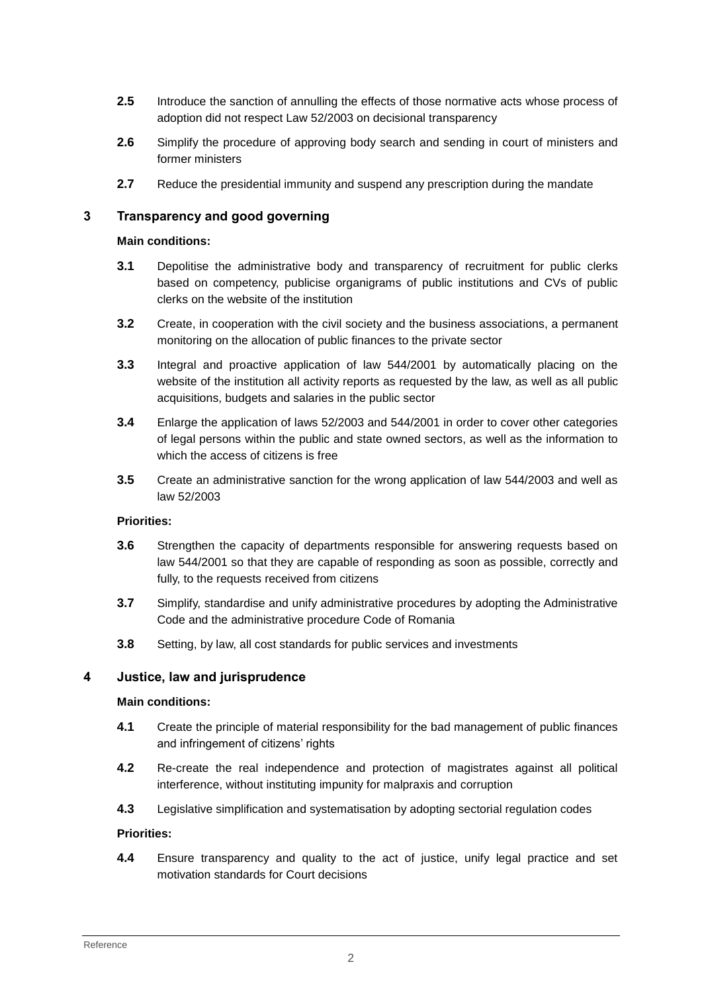- **2.5** Introduce the sanction of annulling the effects of those normative acts whose process of adoption did not respect Law 52/2003 on decisional transparency
- **2.6** Simplify the procedure of approving body search and sending in court of ministers and former ministers
- **2.7** Reduce the presidential immunity and suspend any prescription during the mandate

### **3 Transparency and good governing**

#### **Main conditions:**

- **3.1** Depolitise the administrative body and transparency of recruitment for public clerks based on competency, publicise organigrams of public institutions and CVs of public clerks on the website of the institution
- **3.2** Create, in cooperation with the civil society and the business associations, a permanent monitoring on the allocation of public finances to the private sector
- **3.3** Integral and proactive application of law 544/2001 by automatically placing on the website of the institution all activity reports as requested by the law, as well as all public acquisitions, budgets and salaries in the public sector
- **3.4** Enlarge the application of laws 52/2003 and 544/2001 in order to cover other categories of legal persons within the public and state owned sectors, as well as the information to which the access of citizens is free
- **3.5** Create an administrative sanction for the wrong application of law 544/2003 and well as law 52/2003

#### **Priorities:**

- **3.6** Strengthen the capacity of departments responsible for answering requests based on law 544/2001 so that they are capable of responding as soon as possible, correctly and fully, to the requests received from citizens
- **3.7** Simplify, standardise and unify administrative procedures by adopting the Administrative Code and the administrative procedure Code of Romania
- **3.8** Setting, by law, all cost standards for public services and investments

# **4 Justice, law and jurisprudence**

#### **Main conditions:**

- **4.1** Create the principle of material responsibility for the bad management of public finances and infringement of citizens' rights
- **4.2** Re-create the real independence and protection of magistrates against all political interference, without instituting impunity for malpraxis and corruption
- **4.3** Legislative simplification and systematisation by adopting sectorial regulation codes

#### **Priorities:**

**4.4** Ensure transparency and quality to the act of justice, unify legal practice and set motivation standards for Court decisions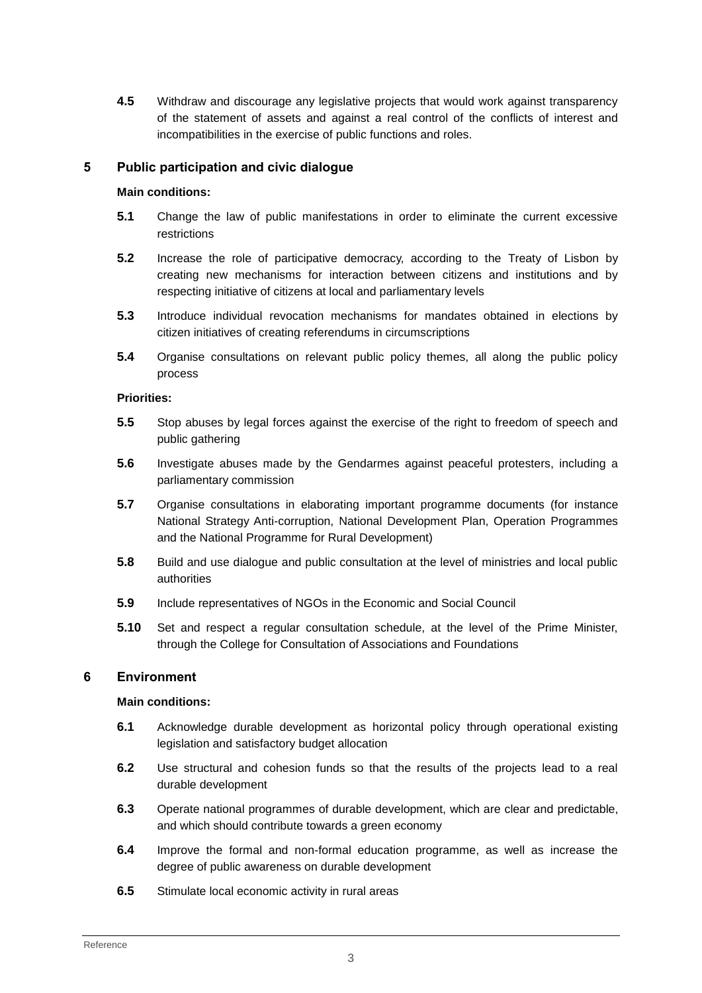**4.5** Withdraw and discourage any legislative projects that would work against transparency of the statement of assets and against a real control of the conflicts of interest and incompatibilities in the exercise of public functions and roles.

## **5 Public participation and civic dialogue**

#### **Main conditions:**

- **5.1** Change the law of public manifestations in order to eliminate the current excessive restrictions
- **5.2** Increase the role of participative democracy, according to the Treaty of Lisbon by creating new mechanisms for interaction between citizens and institutions and by respecting initiative of citizens at local and parliamentary levels
- **5.3** Introduce individual revocation mechanisms for mandates obtained in elections by citizen initiatives of creating referendums in circumscriptions
- **5.4** Organise consultations on relevant public policy themes, all along the public policy process

#### **Priorities:**

- **5.5** Stop abuses by legal forces against the exercise of the right to freedom of speech and public gathering
- **5.6** Investigate abuses made by the Gendarmes against peaceful protesters, including a parliamentary commission
- **5.7** Organise consultations in elaborating important programme documents (for instance National Strategy Anti-corruption, National Development Plan, Operation Programmes and the National Programme for Rural Development)
- **5.8** Build and use dialogue and public consultation at the level of ministries and local public authorities
- **5.9** Include representatives of NGOs in the Economic and Social Council
- **5.10** Set and respect a regular consultation schedule, at the level of the Prime Minister, through the College for Consultation of Associations and Foundations

# **6 Environment**

### **Main conditions:**

- **6.1** Acknowledge durable development as horizontal policy through operational existing legislation and satisfactory budget allocation
- **6.2** Use structural and cohesion funds so that the results of the projects lead to a real durable development
- **6.3** Operate national programmes of durable development, which are clear and predictable, and which should contribute towards a green economy
- **6.4** Improve the formal and non-formal education programme, as well as increase the degree of public awareness on durable development
- **6.5** Stimulate local economic activity in rural areas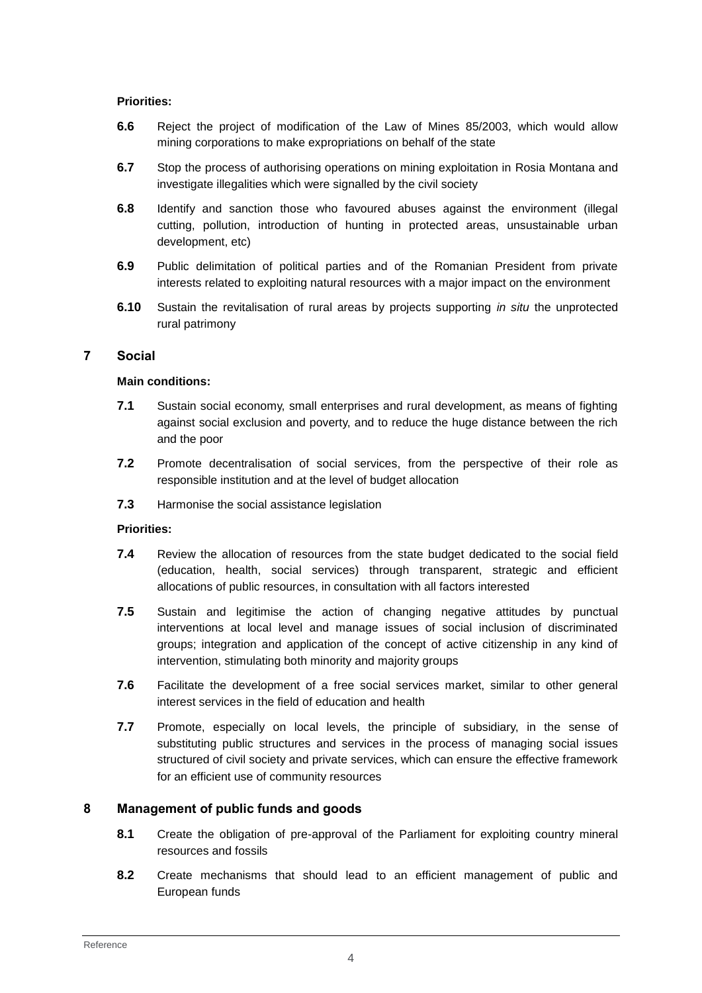### **Priorities:**

- **6.6** Reject the project of modification of the Law of Mines 85/2003, which would allow mining corporations to make expropriations on behalf of the state
- **6.7** Stop the process of authorising operations on mining exploitation in Rosia Montana and investigate illegalities which were signalled by the civil society
- **6.8** Identify and sanction those who favoured abuses against the environment (illegal cutting, pollution, introduction of hunting in protected areas, unsustainable urban development, etc)
- **6.9** Public delimitation of political parties and of the Romanian President from private interests related to exploiting natural resources with a major impact on the environment
- **6.10** Sustain the revitalisation of rural areas by projects supporting *in situ* the unprotected rural patrimony

# **7 Social**

### **Main conditions:**

- **7.1** Sustain social economy, small enterprises and rural development, as means of fighting against social exclusion and poverty, and to reduce the huge distance between the rich and the poor
- **7.2** Promote decentralisation of social services, from the perspective of their role as responsible institution and at the level of budget allocation
- **7.3** Harmonise the social assistance legislation

### **Priorities:**

- **7.4** Review the allocation of resources from the state budget dedicated to the social field (education, health, social services) through transparent, strategic and efficient allocations of public resources, in consultation with all factors interested
- **7.5** Sustain and legitimise the action of changing negative attitudes by punctual interventions at local level and manage issues of social inclusion of discriminated groups; integration and application of the concept of active citizenship in any kind of intervention, stimulating both minority and majority groups
- **7.6** Facilitate the development of a free social services market, similar to other general interest services in the field of education and health
- **7.7** Promote, especially on local levels, the principle of subsidiary, in the sense of substituting public structures and services in the process of managing social issues structured of civil society and private services, which can ensure the effective framework for an efficient use of community resources

# **8 Management of public funds and goods**

- **8.1** Create the obligation of pre-approval of the Parliament for exploiting country mineral resources and fossils
- **8.2** Create mechanisms that should lead to an efficient management of public and European funds